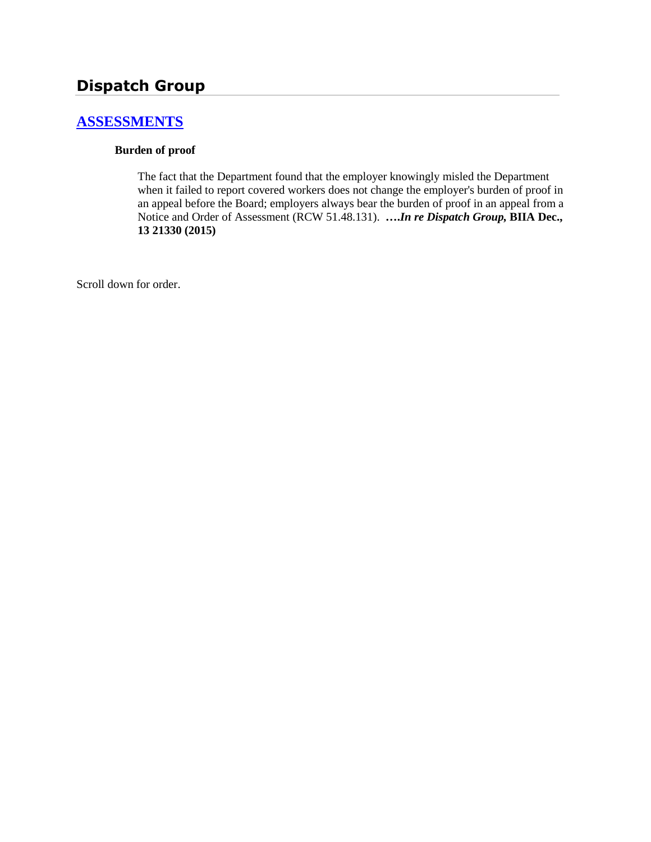# **Dispatch Group**

# **[ASSESSMENTS](http://www.biia.wa.gov/SDSubjectIndex.html#ASSESSMENTS)**

### **Burden of proof**

The fact that the Department found that the employer knowingly misled the Department when it failed to report covered workers does not change the employer's burden of proof in an appeal before the Board; employers always bear the burden of proof in an appeal from a Notice and Order of Assessment (RCW 51.48.131). **….***In re Dispatch Group,* **BIIA Dec., 13 21330 (2015)**

Scroll down for order.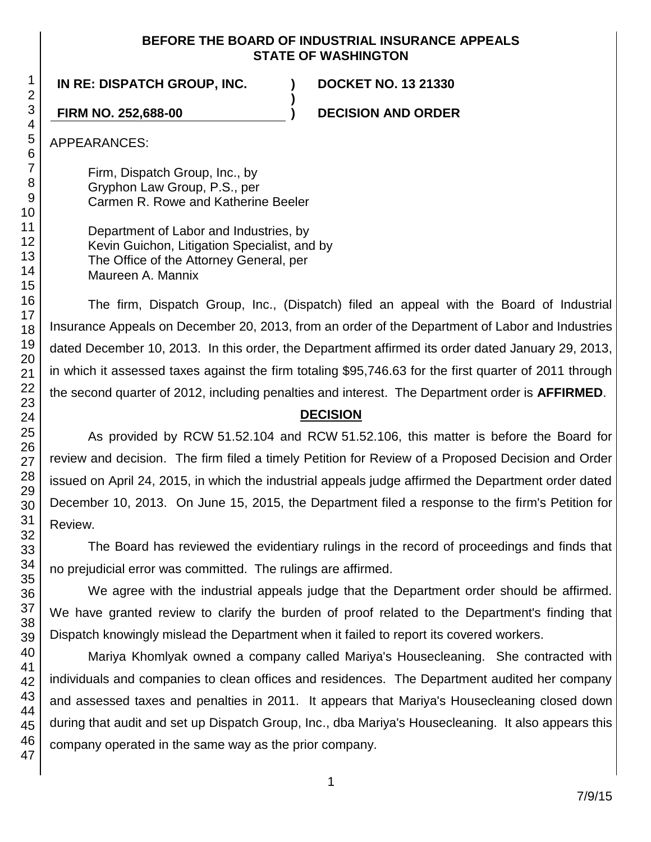### **BEFORE THE BOARD OF INDUSTRIAL INSURANCE APPEALS STATE OF WASHINGTON**

**)**

**IN RE: DISPATCH GROUP, INC. ) DOCKET NO. 13 21330**

**FIRM NO. 252,688-00 ) DECISION AND ORDER**

APPEARANCES:

Firm, Dispatch Group, Inc., by Gryphon Law Group, P.S., per Carmen R. Rowe and Katherine Beeler

Department of Labor and Industries, by Kevin Guichon, Litigation Specialist, and by The Office of the Attorney General, per Maureen A. Mannix

The firm, Dispatch Group, Inc., (Dispatch) filed an appeal with the Board of Industrial Insurance Appeals on December 20, 2013, from an order of the Department of Labor and Industries dated December 10, 2013. In this order, the Department affirmed its order dated January 29, 2013, in which it assessed taxes against the firm totaling \$95,746.63 for the first quarter of 2011 through the second quarter of 2012, including penalties and interest. The Department order is **AFFIRMED**.

# **DECISION**

As provided by RCW 51.52.104 and RCW 51.52.106, this matter is before the Board for review and decision. The firm filed a timely Petition for Review of a Proposed Decision and Order issued on April 24, 2015, in which the industrial appeals judge affirmed the Department order dated December 10, 2013. On June 15, 2015, the Department filed a response to the firm's Petition for Review.

The Board has reviewed the evidentiary rulings in the record of proceedings and finds that no prejudicial error was committed. The rulings are affirmed.

We agree with the industrial appeals judge that the Department order should be affirmed. We have granted review to clarify the burden of proof related to the Department's finding that Dispatch knowingly mislead the Department when it failed to report its covered workers.

Mariya Khomlyak owned a company called Mariya's Housecleaning. She contracted with individuals and companies to clean offices and residences. The Department audited her company and assessed taxes and penalties in 2011. It appears that Mariya's Housecleaning closed down during that audit and set up Dispatch Group, Inc., dba Mariya's Housecleaning. It also appears this company operated in the same way as the prior company.

1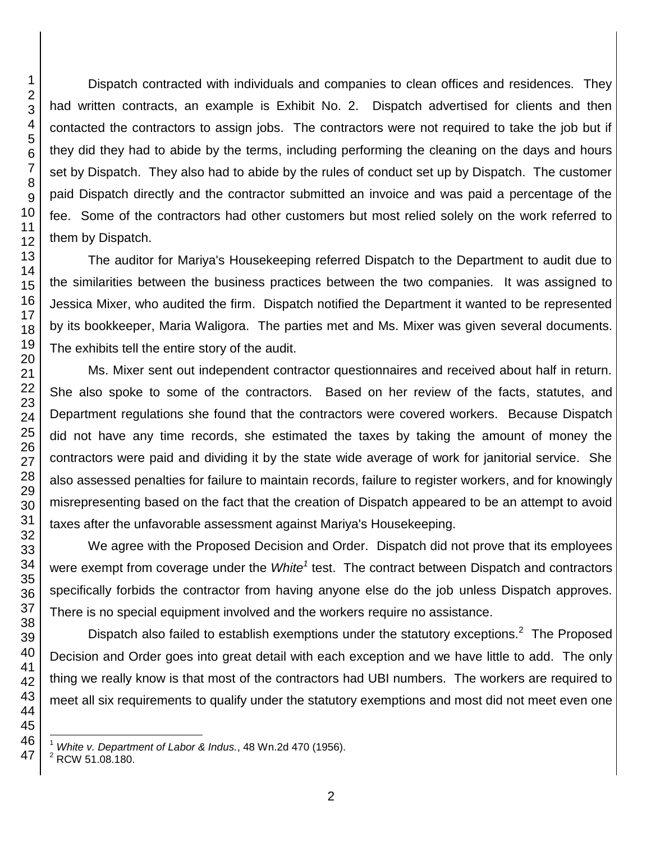Dispatch contracted with individuals and companies to clean offices and residences. They had written contracts, an example is Exhibit No. 2. Dispatch advertised for clients and then contacted the contractors to assign jobs. The contractors were not required to take the job but if they did they had to abide by the terms, including performing the cleaning on the days and hours set by Dispatch. They also had to abide by the rules of conduct set up by Dispatch. The customer paid Dispatch directly and the contractor submitted an invoice and was paid a percentage of the fee. Some of the contractors had other customers but most relied solely on the work referred to them by Dispatch.

The auditor for Mariya's Housekeeping referred Dispatch to the Department to audit due to the similarities between the business practices between the two companies. It was assigned to Jessica Mixer, who audited the firm. Dispatch notified the Department it wanted to be represented by its bookkeeper, Maria Waligora. The parties met and Ms. Mixer was given several documents. The exhibits tell the entire story of the audit.

Ms. Mixer sent out independent contractor questionnaires and received about half in return. She also spoke to some of the contractors. Based on her review of the facts, statutes, and Department regulations she found that the contractors were covered workers. Because Dispatch did not have any time records, she estimated the taxes by taking the amount of money the contractors were paid and dividing it by the state wide average of work for janitorial service. She also assessed penalties for failure to maintain records, failure to register workers, and for knowingly misrepresenting based on the fact that the creation of Dispatch appeared to be an attempt to avoid taxes after the unfavorable assessment against Mariya's Housekeeping.

We agree with the Proposed Decision and Order. Dispatch did not prove that its employees were exempt from coverage under the *White<sup>1</sup>* test. The contract between Dispatch and contractors specifically forbids the contractor from having anyone else do the job unless Dispatch approves. There is no special equipment involved and the workers require no assistance.

Dispatch also failed to establish exemptions under the statutory exceptions.<sup>2</sup> The Proposed Decision and Order goes into great detail with each exception and we have little to add. The only thing we really know is that most of the contractors had UBI numbers. The workers are required to meet all six requirements to qualify under the statutory exemptions and most did not meet even one

l

*White v. Department of Labor & Indus.*, 48 Wn.2d 470 (1956).

RCW 51.08.180.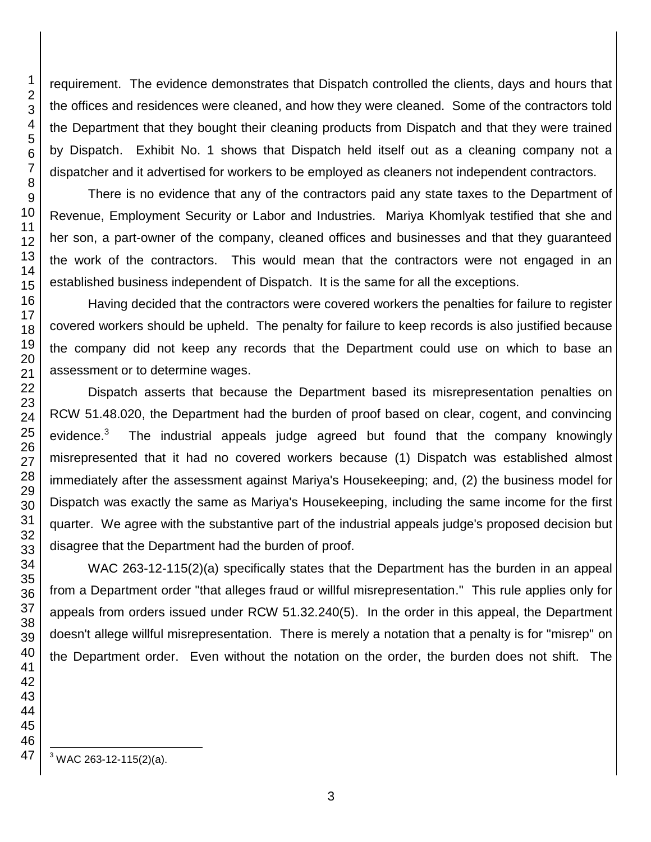requirement. The evidence demonstrates that Dispatch controlled the clients, days and hours that the offices and residences were cleaned, and how they were cleaned. Some of the contractors told the Department that they bought their cleaning products from Dispatch and that they were trained by Dispatch. Exhibit No. 1 shows that Dispatch held itself out as a cleaning company not a dispatcher and it advertised for workers to be employed as cleaners not independent contractors.

There is no evidence that any of the contractors paid any state taxes to the Department of Revenue, Employment Security or Labor and Industries. Mariya Khomlyak testified that she and her son, a part-owner of the company, cleaned offices and businesses and that they guaranteed the work of the contractors. This would mean that the contractors were not engaged in an established business independent of Dispatch. It is the same for all the exceptions.

Having decided that the contractors were covered workers the penalties for failure to register covered workers should be upheld. The penalty for failure to keep records is also justified because the company did not keep any records that the Department could use on which to base an assessment or to determine wages.

Dispatch asserts that because the Department based its misrepresentation penalties on RCW 51.48.020, the Department had the burden of proof based on clear, cogent, and convincing evidence.<sup>3</sup> The industrial appeals judge agreed but found that the company knowingly misrepresented that it had no covered workers because (1) Dispatch was established almost immediately after the assessment against Mariya's Housekeeping; and, (2) the business model for Dispatch was exactly the same as Mariya's Housekeeping, including the same income for the first quarter. We agree with the substantive part of the industrial appeals judge's proposed decision but disagree that the Department had the burden of proof.

WAC 263-12-115(2)(a) specifically states that the Department has the burden in an appeal from a Department order "that alleges fraud or willful misrepresentation." This rule applies only for appeals from orders issued under RCW 51.32.240(5). In the order in this appeal, the Department doesn't allege willful misrepresentation. There is merely a notation that a penalty is for "misrep" on the Department order. Even without the notation on the order, the burden does not shift. The

l WAC 263-12-115(2)(a).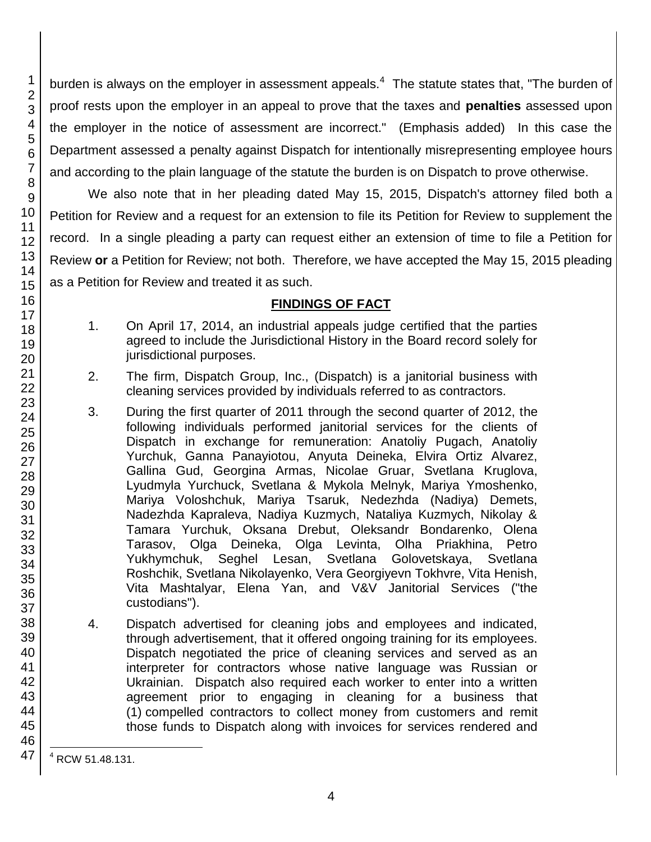burden is always on the employer in assessment appeals.<sup>4</sup> The statute states that, "The burden of proof rests upon the employer in an appeal to prove that the taxes and **penalties** assessed upon the employer in the notice of assessment are incorrect." (Emphasis added) In this case the Department assessed a penalty against Dispatch for intentionally misrepresenting employee hours and according to the plain language of the statute the burden is on Dispatch to prove otherwise.

We also note that in her pleading dated May 15, 2015, Dispatch's attorney filed both a Petition for Review and a request for an extension to file its Petition for Review to supplement the record. In a single pleading a party can request either an extension of time to file a Petition for Review **or** a Petition for Review; not both. Therefore, we have accepted the May 15, 2015 pleading as a Petition for Review and treated it as such.

## **FINDINGS OF FACT**

- 1. On April 17, 2014, an industrial appeals judge certified that the parties agreed to include the Jurisdictional History in the Board record solely for jurisdictional purposes.
- 2. The firm, Dispatch Group, Inc., (Dispatch) is a janitorial business with cleaning services provided by individuals referred to as contractors.
- 3. During the first quarter of 2011 through the second quarter of 2012, the following individuals performed janitorial services for the clients of Dispatch in exchange for remuneration: Anatoliy Pugach, Anatoliy Yurchuk, Ganna Panayiotou, Anyuta Deineka, Elvira Ortiz Alvarez, Gallina Gud, Georgina Armas, Nicolae Gruar, Svetlana Kruglova, Lyudmyla Yurchuck, Svetlana & Mykola Melnyk, Mariya Ymoshenko, Mariya Voloshchuk, Mariya Tsaruk, Nedezhda (Nadiya) Demets, Nadezhda Kapraleva, Nadiya Kuzmych, Nataliya Kuzmych, Nikolay & Tamara Yurchuk, Oksana Drebut, Oleksandr Bondarenko, Olena Tarasov, Olga Deineka, Olga Levinta, Olha Priakhina, Petro Yukhymchuk, Seghel Lesan, Svetlana Golovetskaya, Svetlana Roshchik, Svetlana Nikolayenko, Vera Georgiyevn Tokhvre, Vita Henish, Vita Mashtalyar, Elena Yan, and V&V Janitorial Services ("the custodians").
- 4. Dispatch advertised for cleaning jobs and employees and indicated, through advertisement, that it offered ongoing training for its employees. Dispatch negotiated the price of cleaning services and served as an interpreter for contractors whose native language was Russian or Ukrainian. Dispatch also required each worker to enter into a written agreement prior to engaging in cleaning for a business that (1) compelled contractors to collect money from customers and remit those funds to Dispatch along with invoices for services rendered and

l <sup>4</sup> RCW 51.48.131.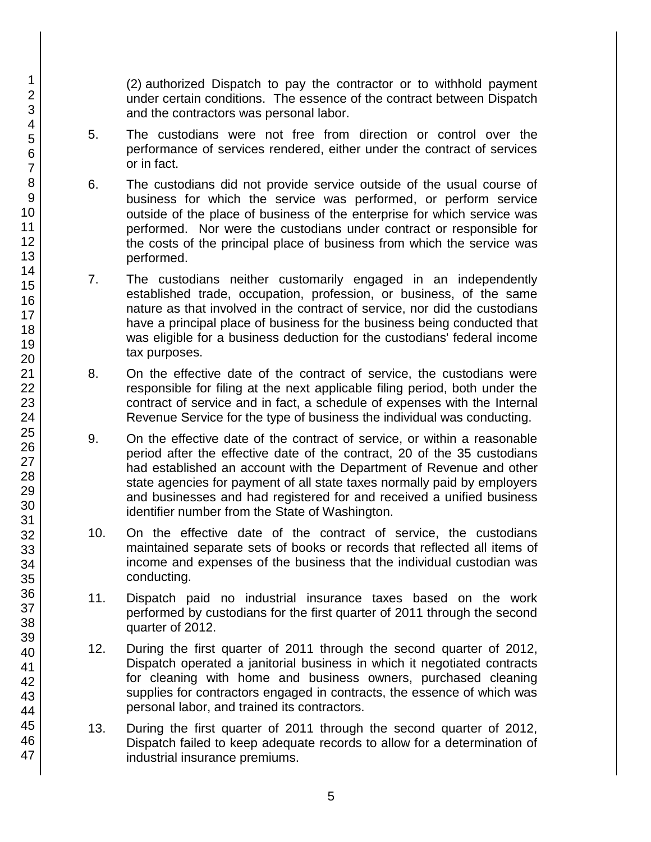(2) authorized Dispatch to pay the contractor or to withhold payment under certain conditions. The essence of the contract between Dispatch and the contractors was personal labor.

- 5. The custodians were not free from direction or control over the performance of services rendered, either under the contract of services or in fact.
- 6. The custodians did not provide service outside of the usual course of business for which the service was performed, or perform service outside of the place of business of the enterprise for which service was performed. Nor were the custodians under contract or responsible for the costs of the principal place of business from which the service was performed.
- 7. The custodians neither customarily engaged in an independently established trade, occupation, profession, or business, of the same nature as that involved in the contract of service, nor did the custodians have a principal place of business for the business being conducted that was eligible for a business deduction for the custodians' federal income tax purposes.
- 8. On the effective date of the contract of service, the custodians were responsible for filing at the next applicable filing period, both under the contract of service and in fact, a schedule of expenses with the Internal Revenue Service for the type of business the individual was conducting.
- 9. On the effective date of the contract of service, or within a reasonable period after the effective date of the contract, 20 of the 35 custodians had established an account with the Department of Revenue and other state agencies for payment of all state taxes normally paid by employers and businesses and had registered for and received a unified business identifier number from the State of Washington.
- 10. On the effective date of the contract of service, the custodians maintained separate sets of books or records that reflected all items of income and expenses of the business that the individual custodian was conducting.
- 11. Dispatch paid no industrial insurance taxes based on the work performed by custodians for the first quarter of 2011 through the second quarter of 2012.
- 12. During the first quarter of 2011 through the second quarter of 2012, Dispatch operated a janitorial business in which it negotiated contracts for cleaning with home and business owners, purchased cleaning supplies for contractors engaged in contracts, the essence of which was personal labor, and trained its contractors.
- 13. During the first quarter of 2011 through the second quarter of 2012, Dispatch failed to keep adequate records to allow for a determination of industrial insurance premiums.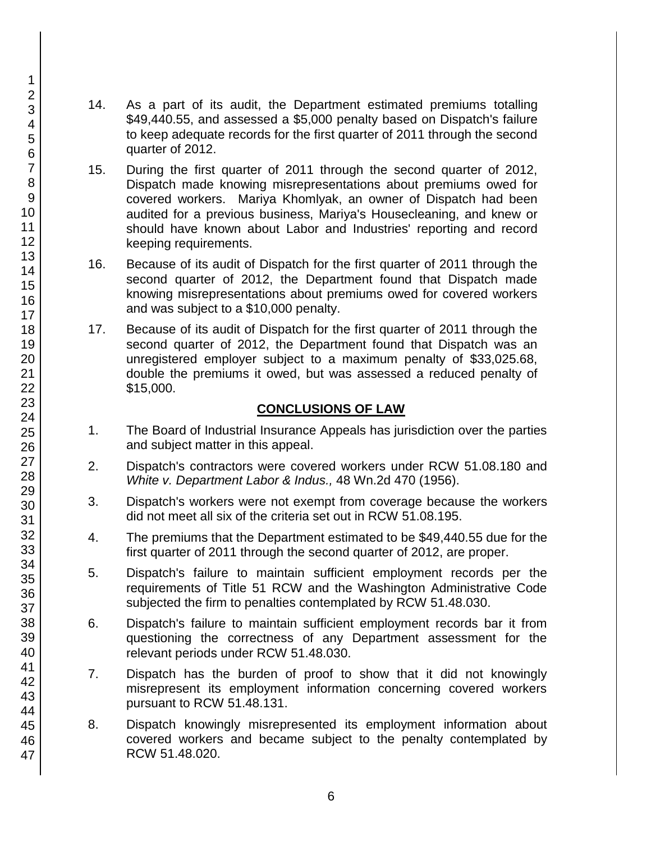- 14. As a part of its audit, the Department estimated premiums totalling \$49,440.55, and assessed a \$5,000 penalty based on Dispatch's failure to keep adequate records for the first quarter of 2011 through the second quarter of 2012.
- 15. During the first quarter of 2011 through the second quarter of 2012, Dispatch made knowing misrepresentations about premiums owed for covered workers. Mariya Khomlyak, an owner of Dispatch had been audited for a previous business, Mariya's Housecleaning, and knew or should have known about Labor and Industries' reporting and record keeping requirements.
- 16. Because of its audit of Dispatch for the first quarter of 2011 through the second quarter of 2012, the Department found that Dispatch made knowing misrepresentations about premiums owed for covered workers and was subject to a \$10,000 penalty.
- 17. Because of its audit of Dispatch for the first quarter of 2011 through the second quarter of 2012, the Department found that Dispatch was an unregistered employer subject to a maximum penalty of \$33,025.68, double the premiums it owed, but was assessed a reduced penalty of \$15,000.

### **CONCLUSIONS OF LAW**

- 1. The Board of Industrial Insurance Appeals has jurisdiction over the parties and subject matter in this appeal.
- 2. Dispatch's contractors were covered workers under RCW 51.08.180 and *White v. Department Labor & Indus.,* 48 Wn.2d 470 (1956).
- 3. Dispatch's workers were not exempt from coverage because the workers did not meet all six of the criteria set out in RCW 51.08.195.
- 4. The premiums that the Department estimated to be \$49,440.55 due for the first quarter of 2011 through the second quarter of 2012, are proper.
- 5. Dispatch's failure to maintain sufficient employment records per the requirements of Title 51 RCW and the Washington Administrative Code subjected the firm to penalties contemplated by RCW 51.48.030.
- 6. Dispatch's failure to maintain sufficient employment records bar it from questioning the correctness of any Department assessment for the relevant periods under RCW 51.48.030.
- 7. Dispatch has the burden of proof to show that it did not knowingly misrepresent its employment information concerning covered workers pursuant to RCW 51.48.131.
- 8. Dispatch knowingly misrepresented its employment information about covered workers and became subject to the penalty contemplated by RCW 51.48.020.